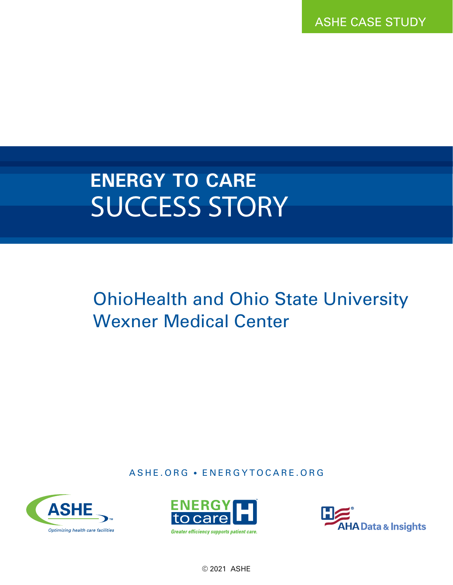ASHE CASE STUDY

# **ENERGY TO CARE** SUCCESS STORY

## OhioHealth and Ohio State University Wexner Medical Center

ASHE.ORG • ENERGYTOCARE.ORG







© 2021 ASHE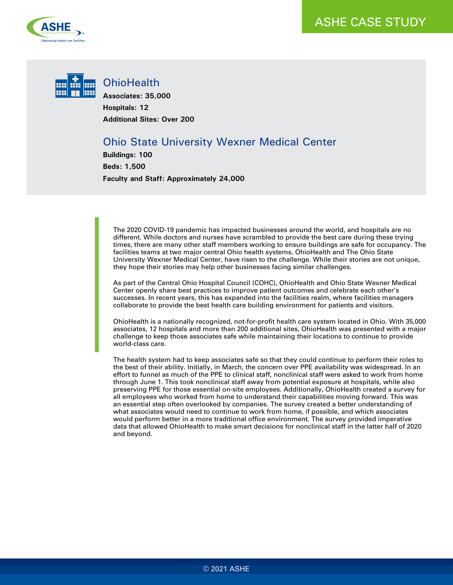



#### **OhioHealth**

**Associates: 35,000 Hospitals: 12 Additional Sites: Over 200**

### Ohio State University Wexner Medical Center

**Buildings: 100 Beds: 1,500 Faculty and Staff: Approximately 24,000** 

The 2020 COVID-19 pandemic has impacted businesses around the world, and hospitals are no different. While doctors and nurses have scrambled to provide the best care during these trying times, there are many other staff members working to ensure buildings are safe for occupancy. The facilities teams at two major central Ohio health systems, OhioHealth and The Ohio State University Wexner Medical Center, have risen to the challenge. While their stories are not unique, they hope their stories may help other businesses facing similar challenges.

As part of the Central Ohio Hospital Council (COHC), OhioHealth and Ohio State Wexner Medical Center openly share best practices to improve patient outcomes and celebrate each other's successes. In recent years, this has expanded into the facilities realm, where facilities managers collaborate to provide the best health care building environment for patients and visitors.

OhioHealth is a nationally recognized, not-for-profit health care system located in Ohio. With 35,000 associates, 12 hospitals and more than 200 additional sites, OhioHealth was presented with a major challenge to keep those associates safe while maintaining their locations to continue to provide world-class care.

The health system had to keep associates safe so that they could continue to perform their roles to the best of their ability. Initially, in March, the concern over PPE availability was widespread. In an effort to funnel as much of the PPE to clinical staff, nonclinical staff were asked to work from home through June 1. This took nonclinical staff away from potential exposure at hospitals, while also preserving PPE for those essential on-site employees. Additionally, OhioHealth created a survey for all employees who worked from home to understand their capabilities moving forward. This was an essential step often overlooked by companies. The survey created a better understanding of what associates would need to continue to work from home, if possible, and which associates would perform better in a more traditional office environment. The survey provided imperative data that allowed OhioHealth to make smart decisions for nonclinical staff in the latter half of 2020 and beyond.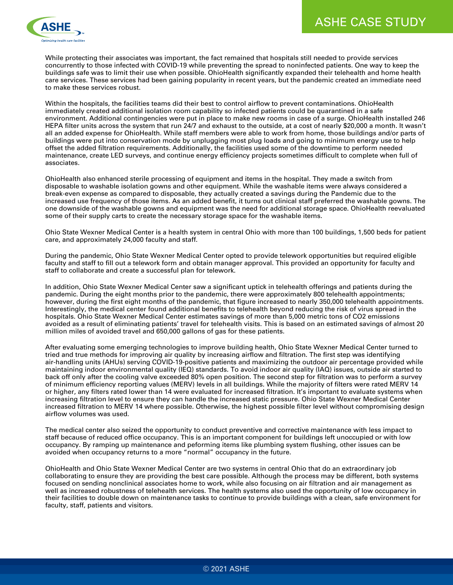

While protecting their associates was important, the fact remained that hospitals still needed to provide services concurrently to those infected with COVID-19 while preventing the spread to noninfected patients. One way to keep the buildings safe was to limit their use when possible. OhioHealth significantly expanded their telehealth and home health care services. These services had been gaining popularity in recent years, but the pandemic created an immediate need to make these services robust.

Within the hospitals, the facilities teams did their best to control airflow to prevent contaminations. OhioHealth immediately created additional isolation room capability so infected patients could be quarantined in a safe environment. Additional contingencies were put in place to make new rooms in case of a surge. OhioHealth installed 246 HEPA filter units across the system that run 24/7 and exhaust to the outside, at a cost of nearly \$20,000 a month. It wasn't all an added expense for OhioHealth. While staff members were able to work from home, those buildings and/or parts of buildings were put into conservation mode by unplugging most plug loads and going to minimum energy use to help offset the added filtration requirements. Additionally, the facilities used some of the downtime to perform needed maintenance, create LED surveys, and continue energy efficiency projects sometimes difficult to complete when full of associates.

OhioHealth also enhanced sterile processing of equipment and items in the hospital. They made a switch from disposable to washable isolation gowns and other equipment. While the washable items were always considered a break-even expense as compared to disposable, they actually created a savings during the Pandemic due to the increased use frequency of those items. As an added benefit, it turns out clinical staff preferred the washable gowns. The one downside of the washable gowns and equipment was the need for additional storage space. OhioHealth reevaluated some of their supply carts to create the necessary storage space for the washable items.

Ohio State Wexner Medical Center is a health system in central Ohio with more than 100 buildings, 1,500 beds for patient care, and approximately 24,000 faculty and staff.

During the pandemic, Ohio State Wexner Medical Center opted to provide telework opportunities but required eligible faculty and staff to fill out a telework form and obtain manager approval. This provided an opportunity for faculty and staff to collaborate and create a successful plan for telework.

In addition, Ohio State Wexner Medical Center saw a significant uptick in telehealth offerings and patients during the pandemic. During the eight months prior to the pandemic, there were approximately 800 telehealth appointments; however, during the first eight months of the pandemic, that figure increased to nearly 350,000 telehealth appointments. Interestingly, the medical center found additional benefits to telehealth beyond reducing the risk of virus spread in the hospitals. Ohio State Wexner Medical Center estimates savings of more than 5,000 metric tons of CO2 emissions avoided as a result of eliminating patients' travel for telehealth visits. This is based on an estimated savings of almost 20 million miles of avoided travel and 650,000 gallons of gas for these patients.

After evaluating some emerging technologies to improve building health, Ohio State Wexner Medical Center turned to tried and true methods for improving air quality by increasing airflow and filtration. The first step was identifying air-handling units (AHUs) serving COVID-19-positive patients and maximizing the outdoor air percentage provided while maintaining indoor environmental quality (IEQ) standards. To avoid indoor air quality (IAQ) issues, outside air started to back off only after the cooling valve exceeded 80% open position. The second step for filtration was to perform a survey of minimum efficiency reporting values (MERV) levels in all buildings. While the majority of filters were rated MERV 14 or higher, any filters rated lower than 14 were evaluated for increased filtration. It's important to evaluate systems when increasing filtration level to ensure they can handle the increased static pressure. Ohio State Wexner Medical Center increased filtration to MERV 14 where possible. Otherwise, the highest possible filter level without compromising design airflow volumes was used.

The medical center also seized the opportunity to conduct preventive and corrective maintenance with less impact to staff because of reduced office occupancy. This is an important component for buildings left unoccupied or with low occupancy. By ramping up maintenance and peforming items like plumbing system flushing, other issues can be avoided when occupancy returns to a more "normal" occupancy in the future.

OhioHealth and Ohio State Wexner Medical Center are two systems in central Ohio that do an extraordinary job collaborating to ensure they are providing the best care possible. Although the process may be different, both systems focused on sending nonclinical associates home to work, while also focusing on air filtration and air management as well as increased robustness of telehealth services. The health systems also used the opportunity of low occupancy in their facilities to double down on maintenance tasks to continue to provide buildings with a clean, safe environment for faculty, staff, patients and visitors.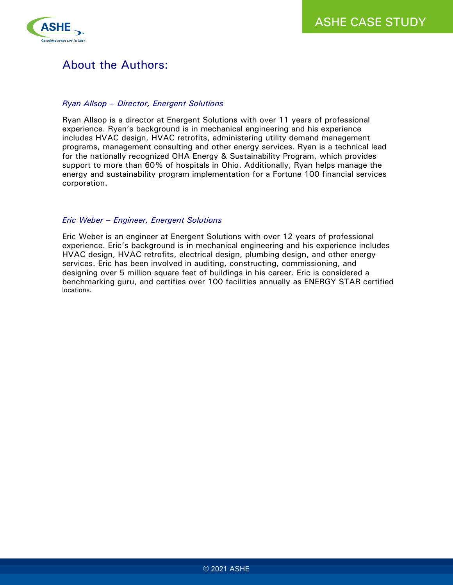

## About the Authors:

#### *Ryan Allsop – Director, Energent Solutions*

Ryan Allsop is a director at Energent Solutions with over 11 years of professional experience. Ryan's background is in mechanical engineering and his experience includes HVAC design, HVAC retrofits, administering utility demand management programs, management consulting and other energy services. Ryan is a technical lead for the nationally recognized OHA Energy & Sustainability Program, which provides support to more than 60% of hospitals in Ohio. Additionally, Ryan helps manage the energy and sustainability program implementation for a Fortune 100 financial services corporation.

#### *Eric Weber – Engineer, Energent Solutions*

Eric Weber is an engineer at Energent Solutions with over 12 years of professional experience. Eric's background is in mechanical engineering and his experience includes HVAC design, HVAC retrofits, electrical design, plumbing design, and other energy services. Eric has been involved in auditing, constructing, commissioning, and designing over 5 million square feet of buildings in his career. Eric is considered a benchmarking guru, and certifies over 100 facilities annually as ENERGY STAR certified locations.